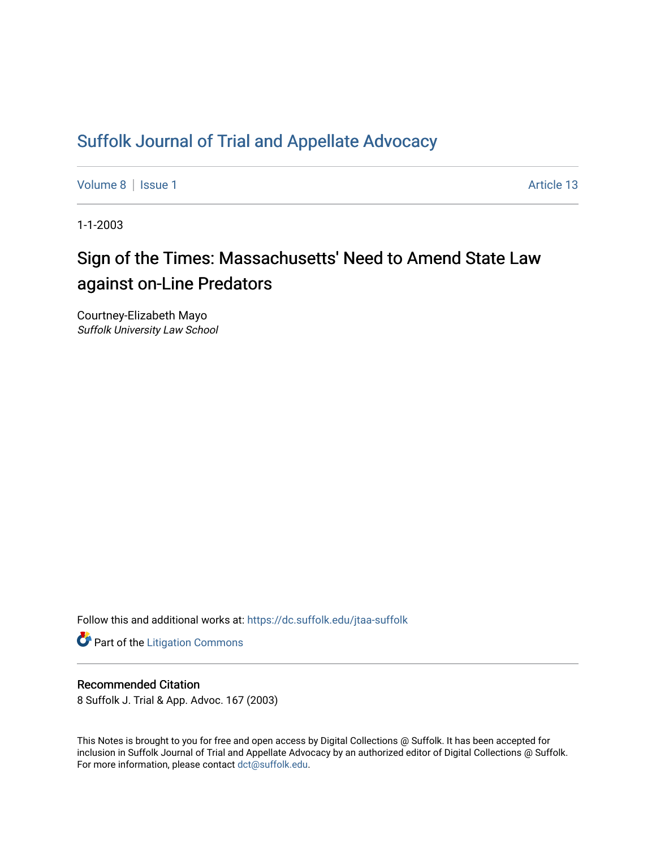## [Suffolk Journal of Trial and Appellate Advocacy](https://dc.suffolk.edu/jtaa-suffolk)

[Volume 8](https://dc.suffolk.edu/jtaa-suffolk/vol8) | [Issue 1](https://dc.suffolk.edu/jtaa-suffolk/vol8/iss1) Article 13

1-1-2003

# Sign of the Times: Massachusetts' Need to Amend State Law against on-Line Predators

Courtney-Elizabeth Mayo Suffolk University Law School

Follow this and additional works at: [https://dc.suffolk.edu/jtaa-suffolk](https://dc.suffolk.edu/jtaa-suffolk?utm_source=dc.suffolk.edu%2Fjtaa-suffolk%2Fvol8%2Fiss1%2F13&utm_medium=PDF&utm_campaign=PDFCoverPages) 

**Part of the [Litigation Commons](https://network.bepress.com/hgg/discipline/910?utm_source=dc.suffolk.edu%2Fjtaa-suffolk%2Fvol8%2Fiss1%2F13&utm_medium=PDF&utm_campaign=PDFCoverPages)** 

### Recommended Citation

8 Suffolk J. Trial & App. Advoc. 167 (2003)

This Notes is brought to you for free and open access by Digital Collections @ Suffolk. It has been accepted for inclusion in Suffolk Journal of Trial and Appellate Advocacy by an authorized editor of Digital Collections @ Suffolk. For more information, please contact [dct@suffolk.edu](mailto:dct@suffolk.edu).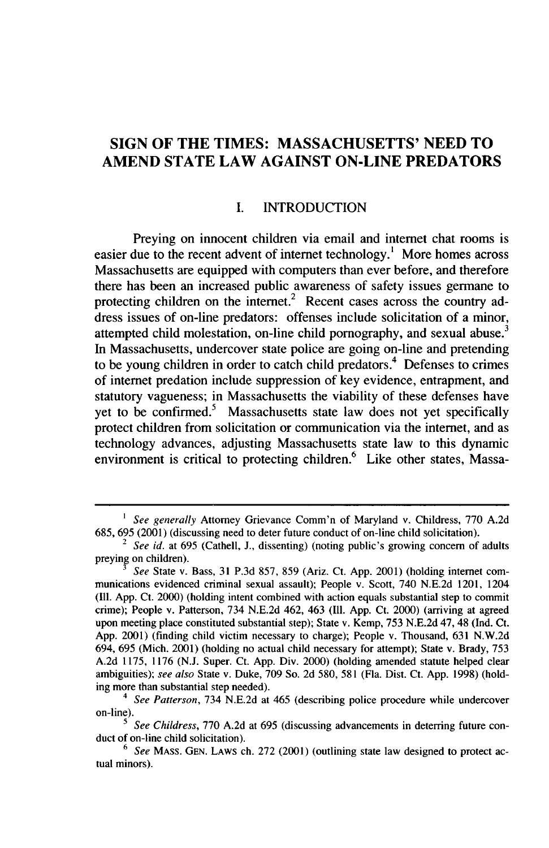## **SIGN OF THE TIMES: MASSACHUSETTS' NEED TO AMEND STATE LAW AGAINST ON-LINE PREDATORS**

#### **I. INTRODUCTION**

Preying on innocent children via email and intemet chat rooms is easier due to the recent advent of internet technology.<sup>1</sup> More homes across Massachusetts are equipped with computers than ever before, and therefore there has been an increased public awareness of safety issues germane to protecting children on the internet.<sup>2</sup> Recent cases across the country address issues of on-line predators: offenses include solicitation of a minor, attempted child molestation, on-line child pornography, and sexual abuse. $3$ In Massachusetts, undercover state police are going on-line and pretending to be young children in order to catch child predators.<sup>4</sup> Defenses to crimes of internet predation include suppression of key evidence, entrapment, and statutory vagueness; in Massachusetts the viability of these defenses have yet to be confirmed.<sup>5</sup> Massachusetts state law does not yet specifically protect children from solicitation or communication via the intemet, and as technology advances, adjusting Massachusetts state law to this dynamic environment is critical to protecting children.<sup>6</sup> Like other states, Massa-

*<sup>&#</sup>x27;* See generally Attorney Grievance Comm'n of Maryland v. Childress, **770** A.2d 685, 695 (2001) (discussing need to deter future conduct of on-line child solicitation). 2 See id. at 695 (Cathell, **J.,** dissenting) (noting public's growing concern of adults

preying on children).

*<sup>3</sup>ee* State v. Bass, 31 P.3d 857, 859 (Ariz. Ct. App. 2001) (holding internet communications evidenced criminal sexual assault); People v. Scott, 740 N.E.2d 1201, 1204 **(I11.** App. Ct. 2000) (holding intent combined with action equals substantial step to commit crime); People v. Patterson, 734 N.E.2d 462, 463 (Ill. App. Ct. 2000) (arriving at agreed upon meeting place constituted substantial step); State v. Kemp, 753 N.E.2d 47, 48 (Ind. Ct. App. 2001) (finding child victim necessary to charge); People v. Thousand, 631 N.W.2d 694, 695 (Mich. 2001) (holding no actual child necessary for attempt); State v. Brady, 753 A.2d 1175, 1176 (N.J. Super. Ct. App. Div. 2000) (holding amended statute helped clear ambiguities); see also State v. Duke, 709 So. 2d 580, 581 (Fla. Dist. Ct. App. 1998) (holding more than substantial step needed).

*<sup>4</sup>* See Patterson, 734 N.E.2d at 465 (describing police procedure while undercover on-line).

*See Childress*, 770 A.2d at 695 (discussing advancements in deterring future conduct of on-line child solicitation).

 $6$  See MASS. GEN. LAWS ch. 272 (2001) (outlining state law designed to protect actual minors).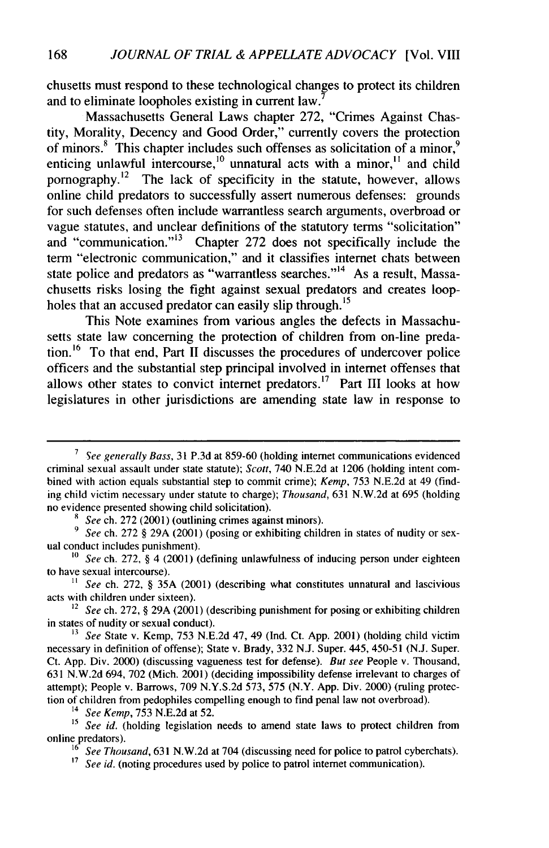chusetts must respond to these technological changes to protect its children and to eliminate loopholes existing in current law. <sup>7</sup>

Massachusetts General Laws chapter 272, "Crimes Against Chastity, Morality, Decency and Good Order," currently covers the protection of minors.<sup>8</sup> This chapter includes such offenses as solicitation of a minor,<sup>9</sup> enticing unlawful intercourse,<sup>10</sup> unnatural acts with a minor,<sup>11</sup> and child pornography.12 The lack of specificity in the statute, however, allows online child predators to successfully assert numerous defenses: grounds for such defenses often include warrantless search arguments, overbroad or vague statutes, and unclear definitions of the statutory terms "solicitation" and "communication."<sup>13</sup> Chapter 272 does not specifically include the term "electronic communication," and it classifies internet chats between state police and predators as "warrantless searches."<sup>14</sup> As a result, Massachusetts risks losing the fight against sexual predators and creates loopholes that an accused predator can easily slip through.<sup>15</sup>

This Note examines from various angles the defects in Massachusetts state law concerning the protection of children from on-line predation.<sup>16</sup> To that end, Part II discusses the procedures of undercover police officers and the substantial step principal involved in internet offenses that allows other states to convict internet predators.<sup>17</sup> Part III looks at how legislatures in other jurisdictions are amending state law in response to

- *9 See* ch. 272 § 29A (2001) (posing or exhibiting children in states of nudity or sexual conduct includes punishment).
- *10 See* ch. 272, § 4 (2001) (defining unlawfulness of inducing person under eighteen to have sexual intercourse).

*11 See* ch. 272, § 35A (2001) (describing what constitutes unnatural and lascivious acts with children under sixteen).

*<sup>12</sup>See* ch. 272, § 29A (2001) (describing punishment for posing or exhibiting children in states of nudity or sexual conduct).

14 *See Kemp,* 753 N.E.2d at 52.

<sup>15</sup> *See id.* (holding legislation needs to amend state laws to protect children from online predators).

<sup>17</sup> *See id.* (noting procedures used by police to patrol internet communication).

*<sup>7</sup>See generally Bass,* 31 P.3d at 859-60 (holding internet communications evidenced criminal sexual assault under state statute); *Scott,* 740 N.E.2d at 1206 (holding intent combined with action equals substantial step to commit crime); *Kemp,* 753 N.E.2d at 49 (finding child victim necessary under statute to charge); Thousand, 631 N.W.2d at 695 (holding no evidence presented showing child solicitation).

*<sup>8</sup> See* ch. 272 (2001) (outlining crimes against minors).

*<sup>13</sup>See* State v. Kemp, 753 **N.E.2d** 47, 49 (Ind. Ct. App. 2001) (holding child victim necessary in definition of offense); State v. Brady, 332 N.J. Super. 445, 450-51 (N.J. Super. Ct. App. Div. 2000) (discussing vagueness test for defense). *But see* People v. Thousand, 631 N.W.2d 694, 702 (Mich. 2001) (deciding impossibility defense irrelevant to charges of attempt); People v. Barrows, 709 N.Y.S.2d 573, 575 (N.Y. App. Div. 2000) (ruling protection of children from pedophiles compelling enough to find penal law not overbroad).

**<sup>16</sup>** *See Thousand,* **631** N.W.2d at 704 (discussing need for police to patrol cyberchats).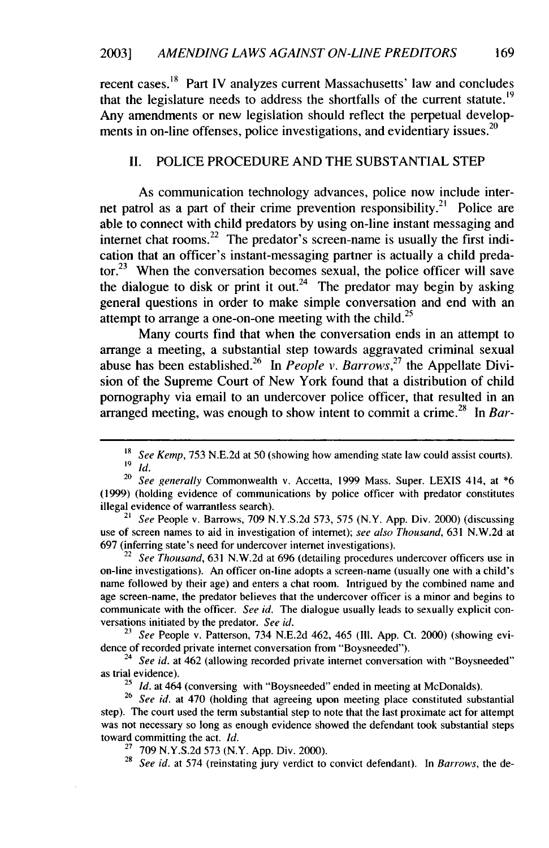recent cases.<sup>18</sup> Part IV analyzes current Massachusetts' law and concludes that the legislature needs to address the shortfalls of the current **statute.1<sup>9</sup>** Any amendments or new legislation should reflect the perpetual developments in on-line offenses, police investigations, and evidentiary issues.<sup>20</sup>

#### **II.** POLICE PROCEDURE **AND** THE **SUBSTANTIAL STEP**

As communication technology advances, police now include internet patrol as a part of their crime prevention responsibility.<sup>21</sup> Police are able to connect with child predators **by** using on-line instant messaging and internet chat rooms.<sup>22</sup> The predator's screen-name is usually the first indication that an officer's instant-messaging partner is actually a child preda- $\text{tor.}^{23}$  When the conversation becomes sexual, the police officer will save the dialogue to disk or print it out.<sup>24</sup> The predator may begin by asking general questions in order to make simple conversation and end with an attempt to arrange a one-on-one meeting with the child.<sup>25</sup>

Many courts find that when the conversation ends in an attempt to arrange a meeting, a substantial step towards aggravated criminal sexual abuse has been established.<sup>26</sup> In *People v. Barrows*<sup>27</sup> the Appellate Division of the Supreme Court of New York found that a distribution of child pornography via email to an undercover police officer, that resulted in an arranged meeting, was enough to show intent to commit a crime.<sup>28</sup> In *Bar-*

21 *See* People v. Barrows, 709 N.Y.S.2d 573, 575 (N.Y. App. Div. 2000) (discussing use of screen names to aid in investigation of internet); *see also Thousand,* 631 N.W.2d at 697 (inferring state's need for undercover internet investigations).

<sup>22</sup> See Thousand, 631 N.W.2d at 696 (detailing procedures undercover officers use in on-line investigations). An officer on-line adopts a screen-name (usually one with a child's name followed by their age) and enters a chat room. Intrigued by the combined name and age screen-name, the predator believes that the undercover officer is a minor and begins to communicate with the officer. *See id.* The dialogue usually leads to sexually explicit conversations initiated by the predator. *See id.*

23 *See* People v. Patterson, 734 N.E.2d 462, 465 (Il1. App. Ct. 2000) (showing evidence of recorded private internet conversation from "Boysneeded").

<sup>24</sup> See id. at 462 (allowing recorded private internet conversation with "Boysneeded" as trial evidence).

<sup>25</sup> *Id.* at 464 (conversing with "Boysneeded" ended in meeting at McDonalds).

<sup>26</sup>*See id.* at 470 (holding that agreeing upon meeting place constituted substantial step). The court used the term substantial step to note that the last proximate act for attempt was not necessary so long as enough evidence showed the defendant took substantial steps toward committing the act. *Id.*

 $27$  709 N.Y.S.2d 573 (N.Y. App. Div. 2000).

28 See *id.* at 574 (reinstating jury verdict to convict defendant). In *Barrows,* the de-

*<sup>18</sup> See Kemp,* 753 N.E.2d at 50 (showing how amending state law could assist courts). **19** *Id.*

<sup>&</sup>lt;sup>20</sup> See generally Commonwealth v. Accetta, 1999 Mass. Super. LEXIS 414, at \*6 (1999) (holding evidence of communications by police officer with predator constitutes illegal evidence of warrantless search).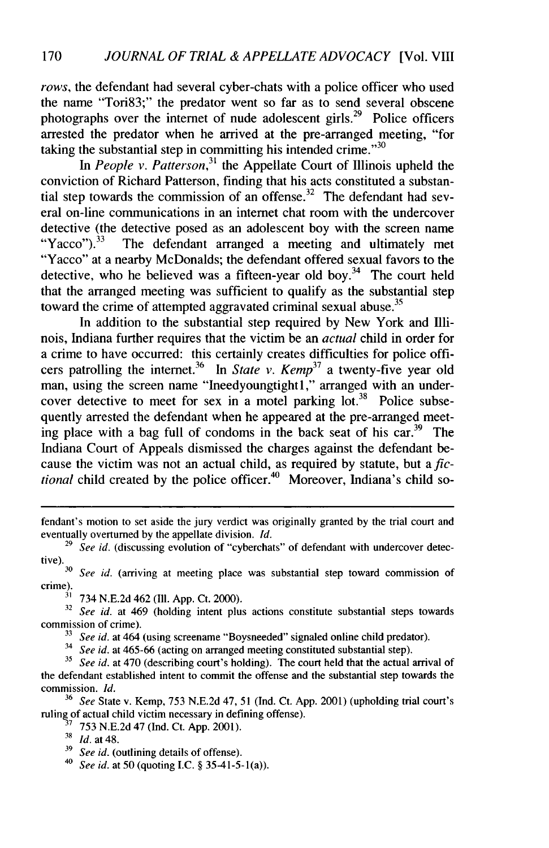*rows,* the defendant had several cyber-chats with a police officer who used the name "Tori83;" the predator went so far as to send several obscene photographs over the internet of nude adolescent girls.<sup>29</sup> Police officers arrested the predator when he arrived at the pre-arranged meeting, "for taking the substantial step in committing his intended crime."<sup>30</sup>

In People v. Patterson,<sup>31</sup> the Appellate Court of Illinois upheld the conviction of Richard Patterson, finding that his acts constituted a substantial step towards the commission of an offense.<sup>32</sup> The defendant had several on-line communications in an internet chat room with the undercover detective (the detective posed as an adolescent boy with the screen name<br>"Yacco").<sup>33</sup> The defendant arranged a meeting and ultimately met The defendant arranged a meeting and ultimately met "Yacco" at a nearby McDonalds; the defendant offered sexual favors to the detective, who he believed was a fifteen-year old boy.<sup>34</sup> The court held that the arranged meeting was sufficient to qualify as the substantial step toward the crime of attempted aggravated criminal sexual abuse.<sup>35</sup>

In addition to the substantial step required by New York and Illinois, Indiana further requires that the victim be an *actual* child in order for a crime to have occurred: this certainly creates difficulties for police officers patrolling the internet.<sup>36</sup> In *State v. Kemp*<sup>37</sup> a twenty-five year old man, using the screen name "Ineedyoungtightl," arranged with an undercover detective to meet for sex in a motel parking lot.<sup>38</sup> Police subsequently arrested the defendant when he appeared at the pre-arranged meeting place with a bag full of condoms in the back seat of his car.<sup>39</sup> The Indiana Court of Appeals dismissed the charges against the defendant because the victim was not an actual child, as required by statute, but a *fic*tional child created by the police officer.<sup>40</sup> Moreover, Indiana's child so-

**<sup>32</sup>***See id.* at 469 (holding intent plus actions constitute substantial steps towards commission of crime).

**33** *See id.* at 464 (using screename "Boysneeded" signaled online child predator).

<sup>34</sup> *See id.* at 465-66 (acting on arranged meeting constituted substantial step).

fendant's motion to set aside the jury verdict was originally granted by the trial court and eventually overturned by the appellate division. *Id.*

<sup>&</sup>lt;sup>29</sup> *See id.* (discussing evolution of "cyberchats" of defendant with undercover detective).<br><sup>30</sup> See id. carriving at meeting place was substantial step toward commission of

crime). **3'** 734 N.E.2d 462 (Ill. App. Ct. 2000).

**<sup>35</sup>***See id.* at 470 (describing court's holding). The court held that the actual arrival of the defendant established intent to commit the offense and the substantial step towards the commission. *Id.*

<sup>36</sup> *See* State v. Kemp, 753 N.E.2d 47, 51 (Ind. Ct. App. 2001) (upholding trial court's ruling of actual child victim necessary in defining offense).

<sup>7</sup> **753** N.E.2d 47 (Ind. Ct. App. 2001).

<sup>38</sup>*Id.* at 48.

**<sup>39</sup>** *See id.* (outlining details of offense).

<sup>40</sup> *See id.* at 50 (quoting I.C. § 35-41-5-1(a)).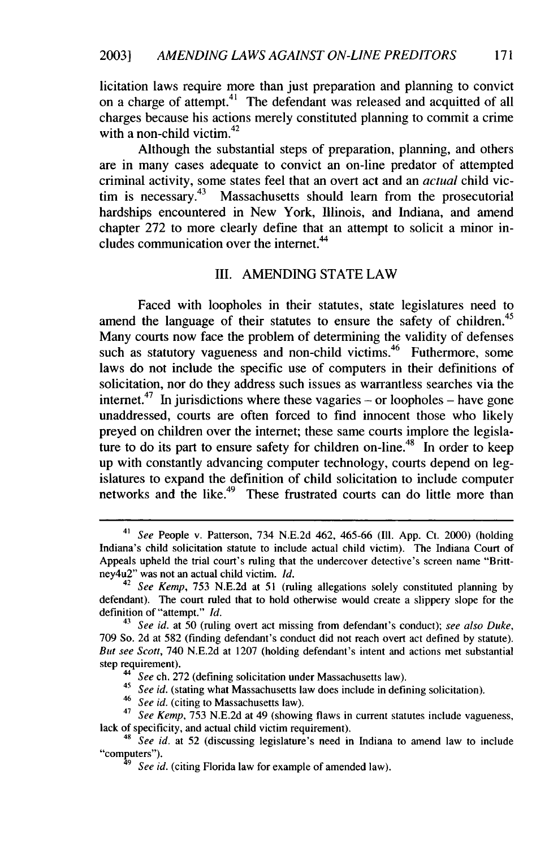licitation laws require more than just preparation and planning to convict on a charge of attempt.<sup>41</sup> The defendant was released and acquitted of all charges because his actions merely constituted planning to commit a crime with a non-child victim. $42$ 

Although the substantial steps of preparation, planning, and others are in many cases adequate to convict an on-line predator of attempted criminal activity, some states feel that an overt act and an *actual* child victim is necessary.<sup>43</sup> Massachusetts should learn from the prosecutorial hardships encountered in New York, Illinois, and Indiana, and amend chapter 272 to more clearly define that an attempt to solicit a minor includes communication over the internet.<sup>44</sup>

#### III. AMENDING STATE LAW

Faced with loopholes in their statutes, state legislatures need to amend the language of their statutes to ensure the safety of children.<sup>45</sup> Many courts now face the problem of determining the validity of defenses such as statutory vagueness and non-child victims.<sup>46</sup> Futhermore, some laws do not include the specific use of computers in their definitions of solicitation, nor do they address such issues as warrantless searches via the internet.<sup>47</sup> In jurisdictions where these vagaries – or loopholes – have gone unaddressed, courts are often forced to find innocent those who likely preyed on children over the internet; these same courts implore the legislature to do its part to ensure safety for children on-line.<sup>48</sup> In order to keep up with constantly advancing computer technology, courts depend on legislatures to expand the definition of child solicitation to include computer networks and the like. $49$  These frustrated courts can do little more than

<sup>41</sup>*See* People v. Patterson, 734 N.E.2d 462, 465-66 **(I11.** App. Ct. 2000) (holding Indiana's child solicitation statute to include actual child victim). The Indiana Court of Appeals upheld the trial court's ruling that the undercover detective's screen name "Brittney4u2" was not an actual child victim. *Id.*

<sup>42</sup>*See Kemp,* 753 N.E.2d at 51 (ruling allegations solely constituted planning by defendant). The court ruled that to hold otherwise would create a slippery slope for the definition of "attempt." *Id.*

<sup>43</sup>*See* id. at 50 (ruling overt act missing from defendant's conduct); *see also Duke,* 709 So. 2d at 582 (finding defendant's conduct did not reach overt act defined by statute). *But see Scott,* 740 N.E.2d at 1207 (holding defendant's intent and actions met substantial step requirement).

*See* ch. 272 (defining solicitation under Massachusetts law).

<sup>45</sup>*See id.* (stating what Massachusetts law does include in defining solicitation).

<sup>46</sup>*See id.* (citing to Massachusetts law).

<sup>47</sup>*See Kemp,* 753 N.E.2d at 49 (showing flaws in current statutes include vagueness, lack of specificity, and actual child victim requirement).

<sup>48</sup>*See id.* at 52 (discussing legislature's need in Indiana to amend law to include "computers").

<sup>&</sup>lt;sup>3</sup> *See id.* (citing Florida law for example of amended law).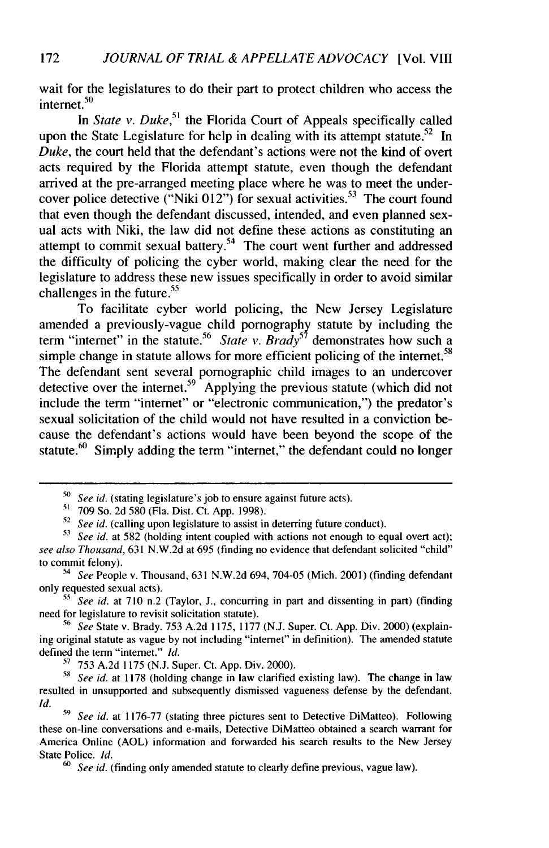wait for the legislatures to do their part to protect children who access the intemet. <sup>50</sup>

In *State v. Duke*,<sup>51</sup> the Florida Court of Appeals specifically called upon the State Legislature for help in dealing with its attempt statute.<sup>52</sup> In Duke, the court held that the defendant's actions were not the kind of overt acts required by the Florida attempt statute, even though the defendant arrived at the pre-arranged meeting place where he was to meet the undercover police detective ("Niki  $012$ ") for sexual activities.<sup>53</sup> The court found that even though the defendant discussed, intended, and even planned sexual acts with Niki, the law did not define these actions as constituting an attempt to commit sexual battery.<sup>54</sup> The court went further and addressed the difficulty of policing the cyber world, making clear the need for the legislature to address these new issues specifically in order to avoid similar challenges in the future.<sup>55</sup>

To facilitate cyber world policing, the New Jersey Legislature amended a previously-vague child pornography statute by including the term "internet" in the statute.<sup>56</sup> State v. Brady<sup>57</sup> demonstrates how such a simple change in statute allows for more efficient policing of the internet.<sup>58</sup> The defendant sent several pornographic child images to an undercover detective over the internet.<sup>59</sup> Applying the previous statute (which did not include the term "internet" or "electronic communication,") the predator's sexual solicitation of the child would not have resulted in a conviction because the defendant's actions would have been beyond the scope of the statute.<sup>60</sup> Simply adding the term "internet," the defendant could no longer

**55** *See id.* at 710 n.2 (Taylor, J., concurring in part and dissenting in part) (finding need for legislature to revisit solicitation statute).

**56** *See* State v. Brady. 753 A.2d 1175, 1177 (N.J. Super. Ct. App. Div. 2000) (explaining original statute as vague by not including "internet" in definition). The amended statute defined the term "internet." *Id.*

**"** 753 A.2d 1175 (N.J. Super. Ct. App. Div. 2000).

**58** *See id.* at 1178 (holding change in law clarified existing law). The change in law resulted in unsupported and subsequently dismissed vagueness defense by the defendant. *Id.*

**<sup>50</sup>** *See id.* (stating legislature's job to ensure against future acts).

**<sup>5&#</sup>x27;** 709 So. 2d 580 (Fla. Dist. Ct. App. 1998).

**<sup>52</sup>** *See id.* (calling upon legislature to assist in deterring future conduct).

**<sup>53</sup>** *See id.* at 582 (holding intent coupled with actions not enough to equal overt act); *see also Thousand,* 631 N.W.2d at 695 (finding no evidence that defendant solicited "child" to commit felony).

<sup>54</sup> *See* People v. Thousand, 631 N.W.2d 694, 704-05 (Mich. 2001) (finding defendant only requested sexual acts).

**<sup>-9</sup>** *See id.* at 1176-77 (stating three pictures sent to Detective DiMatteo). Following these on-line conversations and e-mails, Detective DiMatteo obtained a search warrant for America Online (AOL) information and forwarded his search results to the New Jersey State Police. *Id.* 60 See id. (finding only amended statute to clearly define previous, vague law).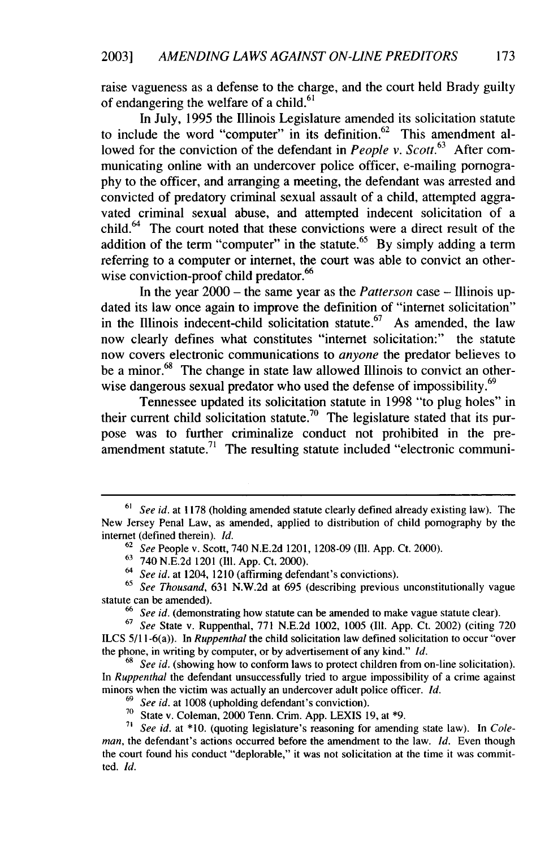raise vagueness as a defense to the charge, and the court held Brady guilty of endangering the welfare of a child.<sup>6</sup>

In July, 1995 the Illinois Legislature amended its solicitation statute to include the word "computer" in its definition.<sup>62</sup> This amendment allowed for the conviction of the defendant in *People v. Scott.63* After communicating online with an undercover police officer, e-mailing pornography to the officer, and arranging a meeting, the defendant was arrested and convicted of predatory criminal sexual assault of a child, attempted aggravated criminal sexual abuse, and attempted indecent solicitation of a child. $<sup>64</sup>$  The court noted that these convictions were a direct result of the</sup> addition of the term "computer" in the statute.<sup>65</sup> By simply adding a term referring to a computer or internet, the court was able to convict an otherwise conviction-proof child predator.<sup>66</sup>

In the year 2000 - the same year as the *Patterson* case - Illinois updated its law once again to improve the definition of "internet solicitation" in the Illinois indecent-child solicitation statute.<sup>67</sup> As amended, the law now clearly defines what constitutes "internet solicitation:" the statute now covers electronic communications to *anyone* the predator believes to be a minor.<sup>68</sup> The change in state law allowed Illinois to convict an otherwise dangerous sexual predator who used the defense of impossibility.<sup>69</sup>

Tennessee updated its solicitation statute in 1998 "to plug holes" in their current child solicitation statute.<sup>70</sup> The legislature stated that its purpose was to further criminalize conduct not prohibited in the preamendment statute.<sup>71</sup> The resulting statute included "electronic communi-

<sup>67</sup>*See* State v. Ruppenthal, 771 N.E.2d 1002, 1005 **(I11.** App. Ct. 2002) (citing 720 ILCS 5/11-6(a)). In *Ruppenthal* the child solicitation law defined solicitation to occur "over the phone, in writing by computer, or by advertisement of any kind." *Id.*

<sup>68</sup> See id. (showing how to conform laws to protect children from on-line solicitation). In *Ruppenthal* the defendant unsuccessfully tried to argue impossibility of a crime against minors when the victim was actually an undercover adult police officer. *Id.*

<sup>61</sup>*See id.* at 1178 (holding amended statute clearly defined already existing law). The New Jersey Penal Law, as amended, applied to distribution of child pornography by the internet (defined therein). *Id.*

<sup>62</sup>*See* People v. Scott, 740 N.E.2d 1201, 1208-09 (Ill. App. Ct. 2000).

<sup>63</sup>740 N.E.2d 1201 (Ill. App. Ct. 2000).

<sup>64</sup> *See id.* at 1204, 1210 (affirming defendant's convictions).

<sup>65</sup>*See Thousand,* 631 N.W.2d at 695 (describing previous unconstitutionally vague statute can be amended).

**<sup>66</sup>** *See id.* (demonstrating how statute can be amended to make vague statute clear).

<sup>69</sup>*See id.* at 1008 (upholding defendant's conviction).

<sup>&</sup>lt;sup>70</sup> State v. Coleman, 2000 Tenn. Crim. App. LEXIS 19, at \*9.

**<sup>71</sup>***See id.* at \*10. (quoting legislature's reasoning for amending state law). In *Coleman,* the defendant's actions occurred before the amendment to the law. *Id.* Even though the court found his conduct "deplorable," it was not solicitation at the time it was committed. *Id.*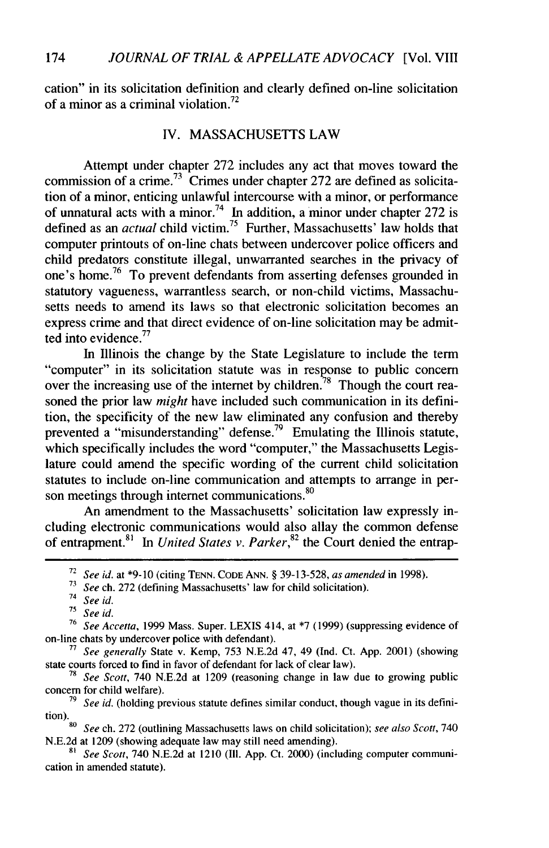cation" in its solicitation definition and clearly defined on-line solicitation of a minor as a criminal violation.<sup>72</sup>

#### IV. MASSACHUSETTS LAW

Attempt under chapter 272 includes any act that moves toward the commission of a crime.<sup>73</sup> Crimes under chapter 272 are defined as solicitation of a minor, enticing unlawful intercourse with a minor, or performance of unnatural acts with a minor.<sup>74</sup> In addition, a minor under chapter 272 is defined as an *actual* child victim.<sup>75</sup> Further, Massachusetts' law holds that computer printouts of on-line chats between undercover police officers and child predators constitute illegal, unwarranted searches in the privacy of one's home.<sup>76</sup> To prevent defendants from asserting defenses grounded in statutory vagueness, warrantless search, or non-child victims, Massachusetts needs to amend its laws so that electronic solicitation becomes an express crime and that direct evidence of on-line solicitation may be admitted into evidence.<sup>77</sup>

In Illinois the change by the State Legislature to include the term "computer" in its solicitation statute was in response to public concern over the increasing use of the internet by children.<sup>78</sup> Though the court reasoned the prior law *might* have included such communication in its definition, the specificity of the new law eliminated any confusion and thereby prevented a "misunderstanding" defense.<sup>79</sup> Emulating the Illinois statute, which specifically includes the word "computer," the Massachusetts Legislature could amend the specific wording of the current child solicitation statutes to include on-line communication and attempts to arrange in person meetings through internet communications.<sup>80</sup>

An amendment to the Massachusetts' solicitation law expressly including electronic communications would also allay the common defense of entrapment.<sup>81</sup> In *United States v. Parker*,<sup>82</sup> the Court denied the entrap-

**75** *See id.*

<sup>72</sup>*See id.* at **\*9-10** (citing TENN. CODE ANN. § 39-13-528, *as amended* in 1998).

**<sup>73</sup>** *See* ch. 272 (defining Massachusetts' law for child solicitation).

<sup>74</sup> *See id.*

<sup>76</sup>*See Accetta,* 1999 Mass. Super. LEXIS 414, at \*7 (1999) (suppressing evidence of on-line chats by undercover police with defendant).

**<sup>77</sup>***See generally* State v. Kemp, 753 N.E.2d 47, 49 (Ind. Ct. App. 2001) (showing state courts forced to find in favor of defendant for lack of clear law).

<sup>78</sup>*See Scott,* 740 N.E.2d at 1209 (reasoning change in law due to growing public concern for child welfare).

**<sup>79</sup>** *See id.* (holding previous statute defines similar conduct, though vague in its definition). **<sup>80</sup>***See* ch. 272 (outlining Massachusetts laws on child solicitation); *see also Scott,* 740

N.E.2d at 1209 (showing adequate law may still need amending).

**<sup>81</sup>** *See Scott,* 740 N.E.2d at 1210 (III. App. Ct. 2000) (including computer communication in amended statute).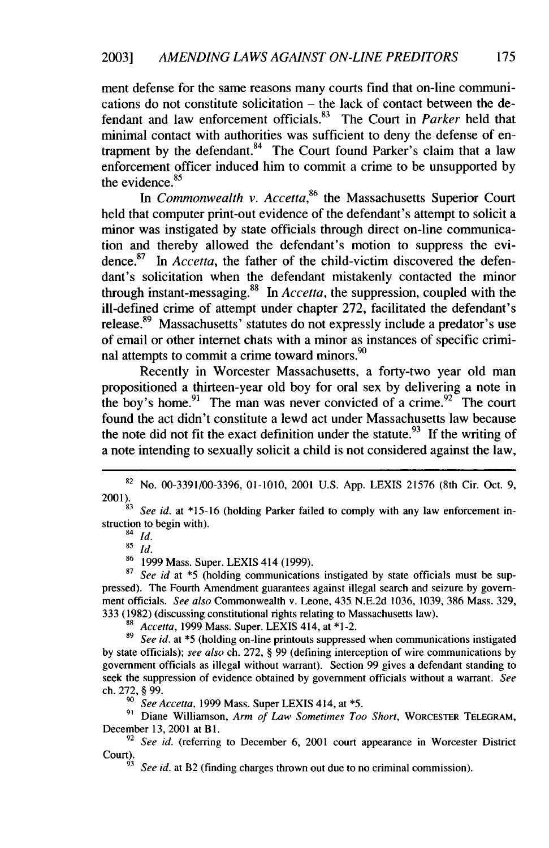ment defense for the same reasons many courts find that on-line communications do not constitute solicitation – the lack of contact between the defendant and law enforcement officials.83 The Court in *Parker* held that minimal contact with authorities was sufficient to deny the defense of entrapment by the defendant. $84$  The Court found Parker's claim that a law enforcement officer induced him to commit a crime to be unsupported by the evidence.<sup>85</sup>

*In Commonwealth v. Accetta,86* the Massachusetts Superior Court held that computer print-out evidence of the defendant's attempt to solicit a minor was instigated by state officials through direct on-line communication and thereby allowed the defendant's motion to suppress the evidence. $87$  In Accetta, the father of the child-victim discovered the defendant's solicitation when the defendant mistakenly contacted the minor through instant-messaging.88 In *Accetta,* the suppression, coupled with the ill-defined crime of attempt under chapter 272, facilitated the defendant's release.<sup>89</sup> Massachusetts' statutes do not expressly include a predator's use of email or other internet chats with a minor as instances of specific criminal attempts to commit a crime toward minors. $90$ 

Recently in Worcester Massachusetts, a forty-two year old man propositioned a thirteen-year old boy for oral sex by delivering a note in the boy's home.<sup>91</sup> The man was never convicted of a crime.<sup>92</sup> The court found the act didn't constitute a lewd act under Massachusetts law because the note did not fit the exact definition under the statute.<sup>93</sup> If the writing of a note intending to sexually solicit a child is not considered against the law,

87 *See id* at \*5 (holding communications instigated by state officials must be suppressed). The Fourth Amendment guarantees against illegal search and seizure by government officials. *See also* Commonwealth v. Leone, 435 N.E.2d 1036, 1039, 386 Mass. 329, 333 (1982) (discussing constitutional rights relating to Massachusetts law).

88 *Accetta,* 1999 Mass. Super. LEXIS 414, at **\*1-2.**

89 See id. at \*5 (holding on-line printouts suppressed when communications instigated by state officials); *see also* ch. 272, § 99 (defining interception of wire communications by government officials as illegal without warrant). Section 99 gives a defendant standing to seek the suppression of evidence obtained by government officials without a warrant. *See* ch. 272, § 99.

*<sup>90</sup>See Accetta,* 1999 Mass. Super LEXIS 414, at **\*5.**

**9'** Diane Williamson, *Arm of Law Sometimes Too Short,* WORCESTER TELEGRAM, December 13, 2001 at BI.

<sup>92</sup> See id. (referring to December 6, 2001 court appearance in Worcester District Court).

See id. at B2 (finding charges thrown out due to no criminal commission).

<sup>82</sup> No. 00-3391/00-3396, 01-1010, 2001 U.S. App. LEXIS 21576 (8th Cir. Oct. 9,

<sup>2001).</sup> *83* See id. at \*15-16 (holding Parker failed to comply with any law enforcement instruction to begin with).

<sup>84</sup> *id.*

<sup>85</sup> *id.*

<sup>86 1999</sup> Mass. Super. LEXIS 414 (1999).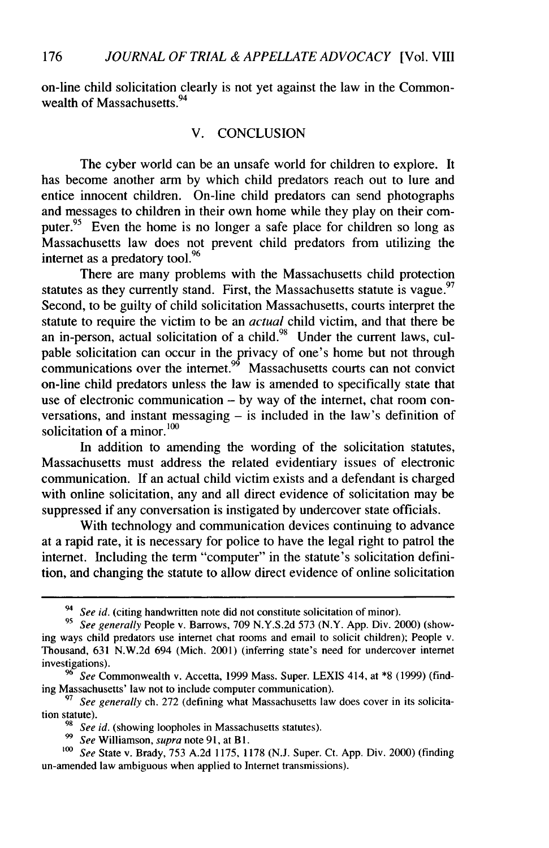on-line child solicitation clearly is not yet against the law in the Commonwealth of Massachusetts.<sup>94</sup>

#### V. CONCLUSION

The cyber world can be an unsafe world for children to explore. It has become another arm by which child predators reach out to lure and entice innocent children. On-line child predators can send photographs and messages to children in their own home while they play on their computer.<sup>95</sup> Even the home is no longer a safe place for children so long as Massachusetts law does not prevent child predators from utilizing the internet as a predatory tool.<sup>96</sup>

There are many problems with the Massachusetts child protection statutes as they currently stand. First, the Massachusetts statute is vague.<sup>97</sup> Second, to be guilty of child solicitation Massachusetts, courts interpret the statute to require the victim to be an *actual* child victim, and that there be an in-person, actual solicitation of a child.  $98$  Under the current laws, culpable solicitation can occur in the privacy of one's home but not through communications over the internet.<sup>99</sup> Massachusetts courts can not convict on-line child predators unless the law is amended to specifically state that use of electronic communication - by way of the internet, chat room conversations, and instant messaging  $-$  is included in the law's definition of solicitation of a minor.<sup>100</sup>

In addition to amending the wording of the solicitation statutes, Massachusetts must address the related evidentiary issues of electronic communication. If an actual child victim exists and a defendant is charged with online solicitation, any and all direct evidence of solicitation may be suppressed if any conversation is instigated by undercover state officials.

With technology and communication devices continuing to advance at a rapid rate, it is necessary for police to have the legal right to patrol the internet. Including the term "computer" in the statute's solicitation definition, and changing the statute to allow direct evidence of online solicitation

<sup>&</sup>lt;sup>94</sup> See id. (citing handwritten note did not constitute solicitation of minor).

*<sup>95</sup> See generally* People v. Barrows, 709 N.Y.S.2d 573 (N.Y. App. Div. 2000) (showing ways child predators use internet chat rooms and email to solicit children); People v. Thousand, 631 N.W.2d 694 (Mich. 2001) (inferring state's need for undercover internet investigations).

**<sup>96</sup>** *See* Commonwealth v. Accetta, 1999 Mass. Super. LEXIS 414, at \*8 (1999) (finding Massachusetts' law not to include computer communication).

**<sup>97</sup>** *See generally* ch. 272 (defining what Massachusetts law does cover in its solicitation statute).

See id. (showing loopholes in Massachusetts statutes).

*<sup>99</sup>See* Williamson, *supra* note 91, at Bl.

*<sup>1</sup>oo See* State v. Brady, 753 A.2d 1175, 1178 (N.J. Super. Ct. App. Div. 2000) (finding un-amended law ambiguous when applied to Internet transmissions).